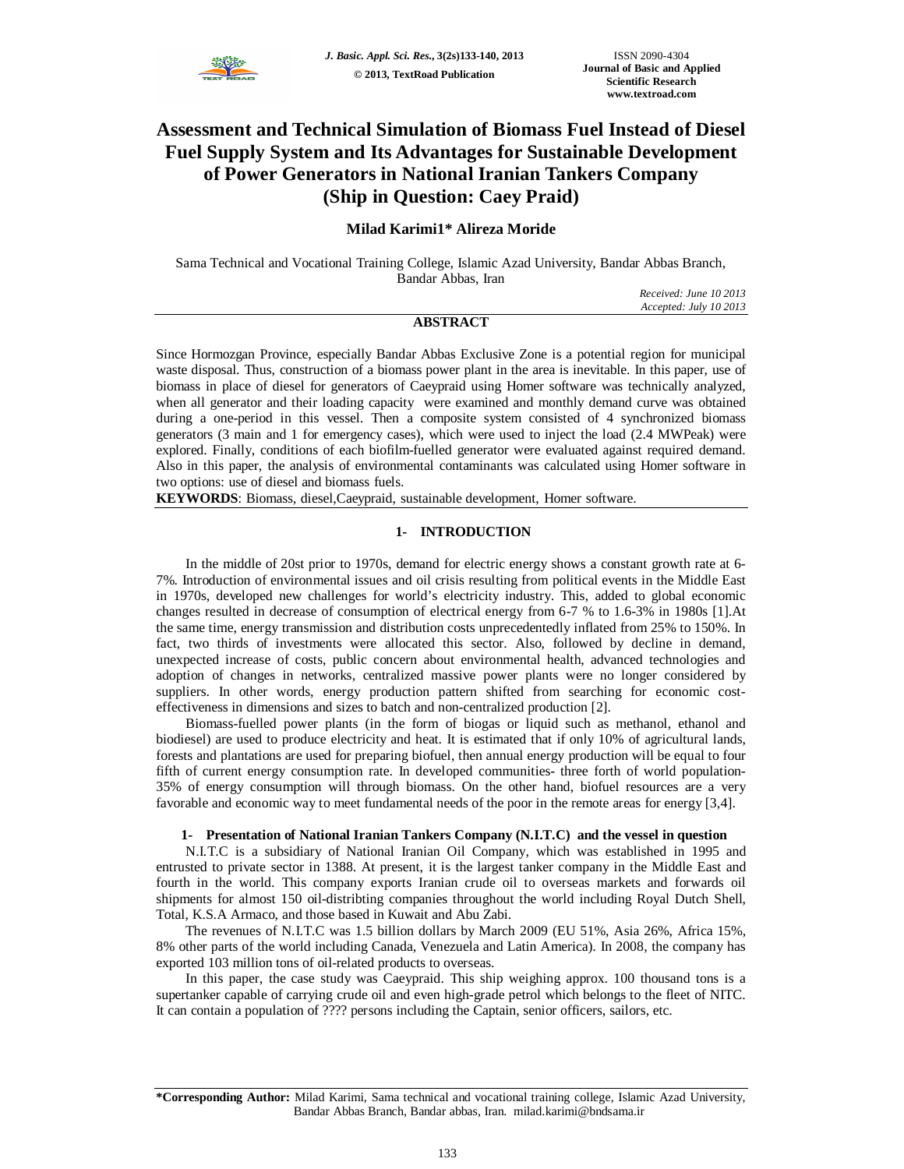

# **Assessment and Technical Simulation of Biomass Fuel Instead of Diesel Fuel Supply System and Its Advantages for Sustainable Development of Power Generators in National Iranian Tankers Company (Ship in Question: Caey Praid)**

## **Milad Karimi1\* Alireza Moride**

Sama Technical and Vocational Training College, Islamic Azad University, Bandar Abbas Branch, Bandar Abbas, Iran

*Received: June 10 2013 Accepted: July 10 2013*

## **ABSTRACT**

Since Hormozgan Province, especially Bandar Abbas Exclusive Zone is a potential region for municipal waste disposal. Thus, construction of a biomass power plant in the area is inevitable. In this paper, use of biomass in place of diesel for generators of Caeypraid using Homer software was technically analyzed, when all generator and their loading capacity were examined and monthly demand curve was obtained during a one-period in this vessel. Then a composite system consisted of 4 synchronized biomass generators (3 main and 1 for emergency cases), which were used to inject the load (2.4 MWPeak) were explored. Finally, conditions of each biofilm-fuelled generator were evaluated against required demand. Also in this paper, the analysis of environmental contaminants was calculated using Homer software in two options: use of diesel and biomass fuels.

**KEYWORDS**: Biomass, diesel,Caeypraid, sustainable development, Homer software.

## **1- INTRODUCTION**

In the middle of 20st prior to 1970s, demand for electric energy shows a constant growth rate at 6- 7%. Introduction of environmental issues and oil crisis resulting from political events in the Middle East in 1970s, developed new challenges for world's electricity industry. This, added to global economic changes resulted in decrease of consumption of electrical energy from 6-7 % to 1.6-3% in 1980s [1].At the same time, energy transmission and distribution costs unprecedentedly inflated from 25% to 150%. In fact, two thirds of investments were allocated this sector. Also, followed by decline in demand, unexpected increase of costs, public concern about environmental health, advanced technologies and adoption of changes in networks, centralized massive power plants were no longer considered by suppliers. In other words, energy production pattern shifted from searching for economic costeffectiveness in dimensions and sizes to batch and non-centralized production [2].

Biomass-fuelled power plants (in the form of biogas or liquid such as methanol, ethanol and biodiesel) are used to produce electricity and heat. It is estimated that if only 10% of agricultural lands, forests and plantations are used for preparing biofuel, then annual energy production will be equal to four fifth of current energy consumption rate. In developed communities- three forth of world population-35% of energy consumption will through biomass. On the other hand, biofuel resources are a very favorable and economic way to meet fundamental needs of the poor in the remote areas for energy [3,4].

### **1- Presentation of National Iranian Tankers Company (N.I.T.C) and the vessel in question**

N.I.T.C is a subsidiary of National Iranian Oil Company, which was established in 1995 and entrusted to private sector in 1388. At present, it is the largest tanker company in the Middle East and fourth in the world. This company exports Iranian crude oil to overseas markets and forwards oil shipments for almost 150 oil-distribting companies throughout the world including Royal Dutch Shell, Total, K.S.A Armaco, and those based in Kuwait and Abu Zabi.

The revenues of N.I.T.C was 1.5 billion dollars by March 2009 (EU 51%, Asia 26%, Africa 15%, 8% other parts of the world including Canada, Venezuela and Latin America). In 2008, the company has exported 103 million tons of oil-related products to overseas.

In this paper, the case study was Caeypraid. This ship weighing approx. 100 thousand tons is a supertanker capable of carrying crude oil and even high-grade petrol which belongs to the fleet of NITC. It can contain a population of ???? persons including the Captain, senior officers, sailors, etc.

**\*Corresponding Author:** Milad Karimi, Sama technical and vocational training college, Islamic Azad University, Bandar Abbas Branch, Bandar abbas, Iran. milad.karimi@bndsama.ir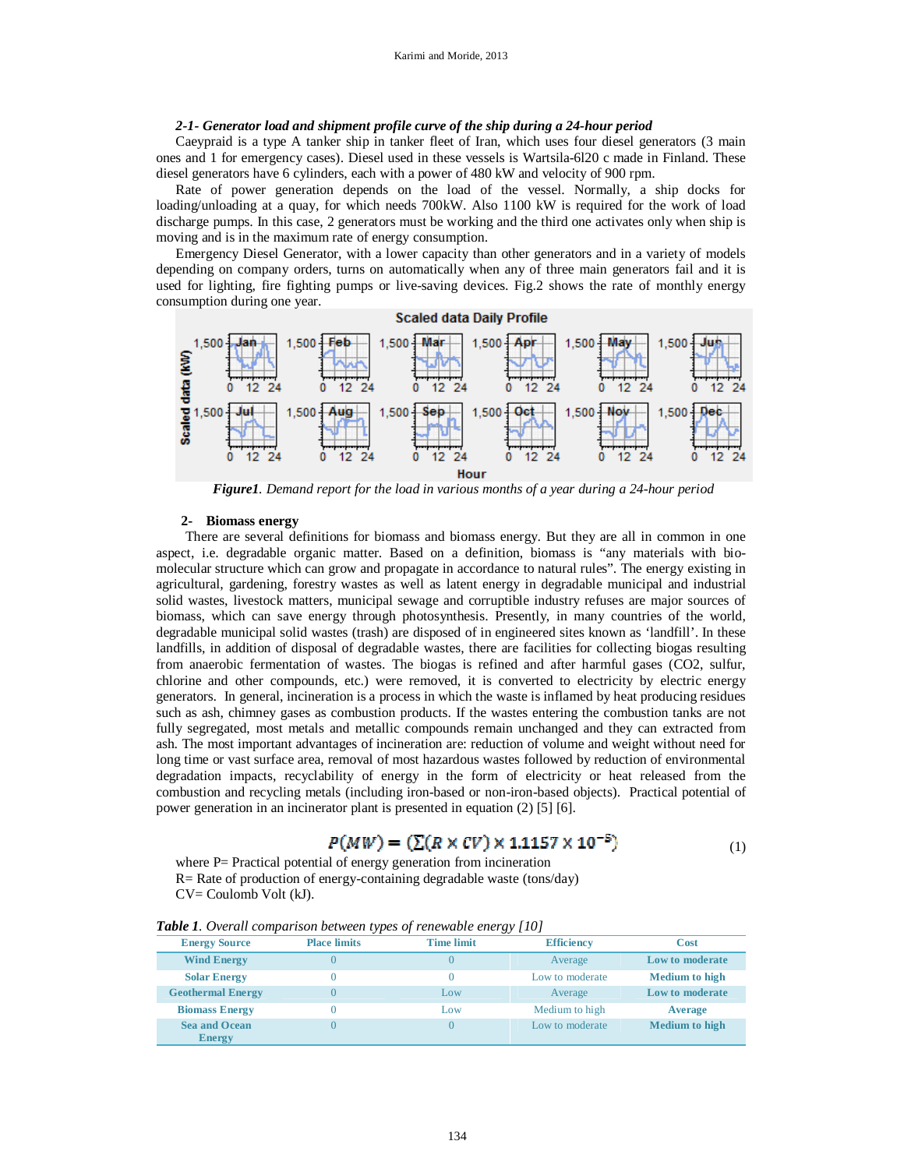## *2-1- Generator load and shipment profile curve of the ship during a 24-hour period*

Caeypraid is a type A tanker ship in tanker fleet of Iran, which uses four diesel generators (3 main ones and 1 for emergency cases). Diesel used in these vessels is Wartsila-6l20 c made in Finland. These diesel generators have 6 cylinders, each with a power of 480 kW and velocity of 900 rpm.

Rate of power generation depends on the load of the vessel. Normally, a ship docks for loading/unloading at a quay, for which needs 700kW. Also 1100 kW is required for the work of load discharge pumps. In this case, 2 generators must be working and the third one activates only when ship is moving and is in the maximum rate of energy consumption.

Emergency Diesel Generator, with a lower capacity than other generators and in a variety of models depending on company orders, turns on automatically when any of three main generators fail and it is used for lighting, fire fighting pumps or live-saving devices. Fig.2 shows the rate of monthly energy consumption during one year.



*Figure1. Demand report for the load in various months of a year during a 24-hour period*

#### **2- Biomass energy**

There are several definitions for biomass and biomass energy. But they are all in common in one aspect, i.e. degradable organic matter. Based on a definition, biomass is "any materials with biomolecular structure which can grow and propagate in accordance to natural rules". The energy existing in agricultural, gardening, forestry wastes as well as latent energy in degradable municipal and industrial solid wastes, livestock matters, municipal sewage and corruptible industry refuses are major sources of biomass, which can save energy through photosynthesis. Presently, in many countries of the world, degradable municipal solid wastes (trash) are disposed of in engineered sites known as 'landfill'. In these landfills, in addition of disposal of degradable wastes, there are facilities for collecting biogas resulting from anaerobic fermentation of wastes. The biogas is refined and after harmful gases (CO2, sulfur, chlorine and other compounds, etc.) were removed, it is converted to electricity by electric energy generators. In general, incineration is a process in which the waste is inflamed by heat producing residues such as ash, chimney gases as combustion products. If the wastes entering the combustion tanks are not fully segregated, most metals and metallic compounds remain unchanged and they can extracted from ash. The most important advantages of incineration are: reduction of volume and weight without need for long time or vast surface area, removal of most hazardous wastes followed by reduction of environmental degradation impacts, recyclability of energy in the form of electricity or heat released from the combustion and recycling metals (including iron-based or non-iron-based objects). Practical potential of power generation in an incinerator plant is presented in equation (2) [5] [6].

## $P(MW) = (\sum (R \times CV) \times 1.1157 \times 10^{-5})$  (1)

where P= Practical potential of energy generation from incineration R= Rate of production of energy-containing degradable waste (tons/day) CV= Coulomb Volt (kJ).

| <b>Table 1.</b> Overall comparison between types of renewable energy [10] |                     |                   |                   |                       |  |  |  |  |
|---------------------------------------------------------------------------|---------------------|-------------------|-------------------|-----------------------|--|--|--|--|
| <b>Energy Source</b>                                                      | <b>Place limits</b> | <b>Time limit</b> | <b>Efficiency</b> | Cost                  |  |  |  |  |
| <b>Wind Energy</b>                                                        |                     |                   | Average           | Low to moderate       |  |  |  |  |
| <b>Solar Energy</b>                                                       |                     |                   | Low to moderate   | <b>Medium</b> to high |  |  |  |  |
| <b>Geothermal Energy</b>                                                  |                     | Low               | Average           | Low to moderate       |  |  |  |  |
| <b>Biomass Energy</b>                                                     |                     | Low               | Medium to high    | Average               |  |  |  |  |
| <b>Sea and Ocean</b><br><b>Energy</b>                                     |                     |                   | Low to moderate   | <b>Medium</b> to high |  |  |  |  |

*Table 1. Overall comparison between types of renewable energy [10]*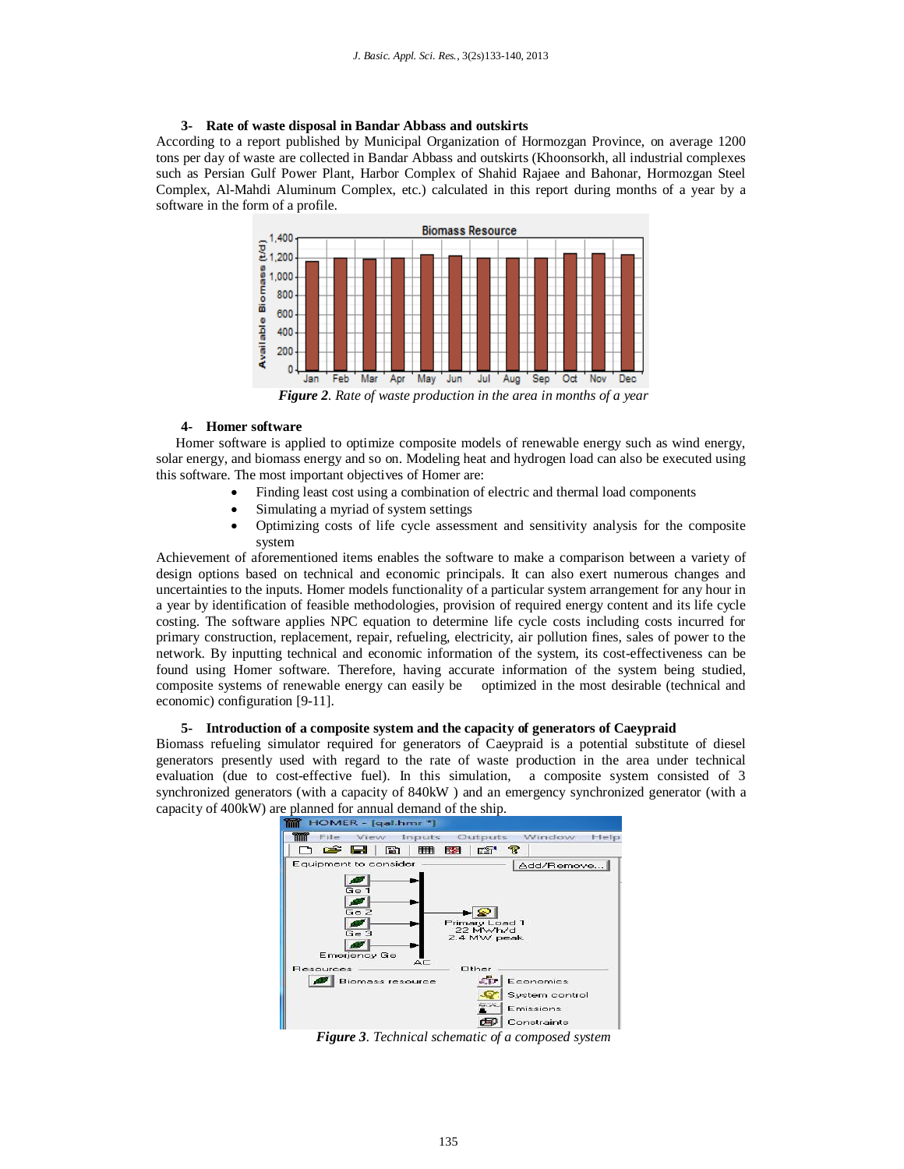## **3- Rate of waste disposal in Bandar Abbass and outskirts**

According to a report published by Municipal Organization of Hormozgan Province, on average 1200 tons per day of waste are collected in Bandar Abbass and outskirts (Khoonsorkh, all industrial complexes such as Persian Gulf Power Plant, Harbor Complex of Shahid Rajaee and Bahonar, Hormozgan Steel Complex, Al-Mahdi Aluminum Complex, etc.) calculated in this report during months of a year by a software in the form of a profile.



*Figure 2. Rate of waste production in the area in months of a year*

## **4- Homer software**

Homer software is applied to optimize composite models of renewable energy such as wind energy, solar energy, and biomass energy and so on. Modeling heat and hydrogen load can also be executed using this software. The most important objectives of Homer are:

- Finding least cost using a combination of electric and thermal load components
- Simulating a myriad of system settings
- Optimizing costs of life cycle assessment and sensitivity analysis for the composite system

Achievement of aforementioned items enables the software to make a comparison between a variety of design options based on technical and economic principals. It can also exert numerous changes and uncertainties to the inputs. Homer models functionality of a particular system arrangement for any hour in a year by identification of feasible methodologies, provision of required energy content and its life cycle costing. The software applies NPC equation to determine life cycle costs including costs incurred for primary construction, replacement, repair, refueling, electricity, air pollution fines, sales of power to the network. By inputting technical and economic information of the system, its cost-effectiveness can be found using Homer software. Therefore, having accurate information of the system being studied, composite systems of renewable energy can easily be optimized in the most desirable (technical and economic) configuration [9-11].

#### **5- Introduction of a composite system and the capacity of generators of Caeypraid**

Biomass refueling simulator required for generators of Caeypraid is a potential substitute of diesel generators presently used with regard to the rate of waste production in the area under technical evaluation (due to cost-effective fuel). In this simulation, a composite system consisted of 3 synchronized generators (with a capacity of 840kW ) and an emergency synchronized generator (with a capacity of 400kW) are planned for annual demand of the ship.



*Figure 3. Technical schematic of a composed system*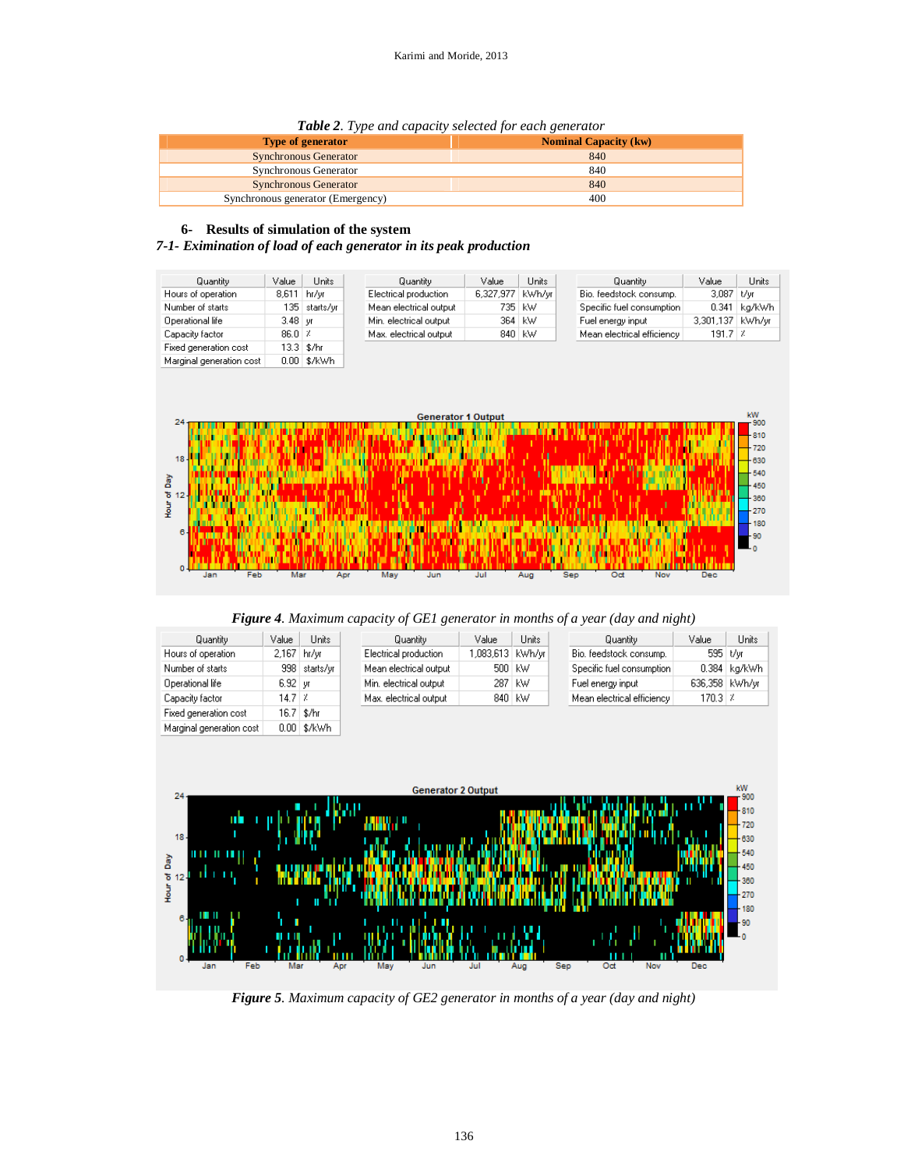|  | Table 2. Type and capacity selected for each generator |  |
|--|--------------------------------------------------------|--|
|  |                                                        |  |

| <b>Type of generator</b>          | <b>Nominal Capacity (kw)</b> |
|-----------------------------------|------------------------------|
| <b>Synchronous Generator</b>      | 840                          |
| Synchronous Generator             | 840                          |
| <b>Synchronous Generator</b>      | 840                          |
| Synchronous generator (Emergency) | 400                          |

#### **6- Results of simulation of the system**

Marginal generation cost

0.00 \$/kWh

## *7-1- Eximination of load of each generator in its peak production*



*Figure 4. Maximum capacity of GE1 generator in months of a year (day and night)*

| Quantity              | Value                 | Units:        | Quantity               | Value              | Units  | Quantity                   | Value          | Units        |
|-----------------------|-----------------------|---------------|------------------------|--------------------|--------|----------------------------|----------------|--------------|
| Hours of operation    | 2.167 hr/vr           |               | Electrical production  | 1,083,613   kWh/vr |        | Bio, feedstock consump.    |                | 595   t/vr   |
| Number of starts      |                       | 998 starts/yr | Mean electrical output |                    | 500 kw | Specific fuel consumption  |                | 0.384 kg/kWh |
| Operational life      | $6.92 \mid \text{yr}$ |               | Min. electrical output |                    | 287 kW | Fuel energy input          | 636,358 KWh/yr |              |
| Capacity factor       | 14.7   %              |               | Max, electrical output | 840 kW             |        | Mean electrical efficiency | $170.3 \times$ |              |
| Fixed generation cost |                       | 16.7   \$/hr  |                        |                    |        |                            |                |              |



*Figure 5. Maximum capacity of GE2 generator in months of a year (day and night)*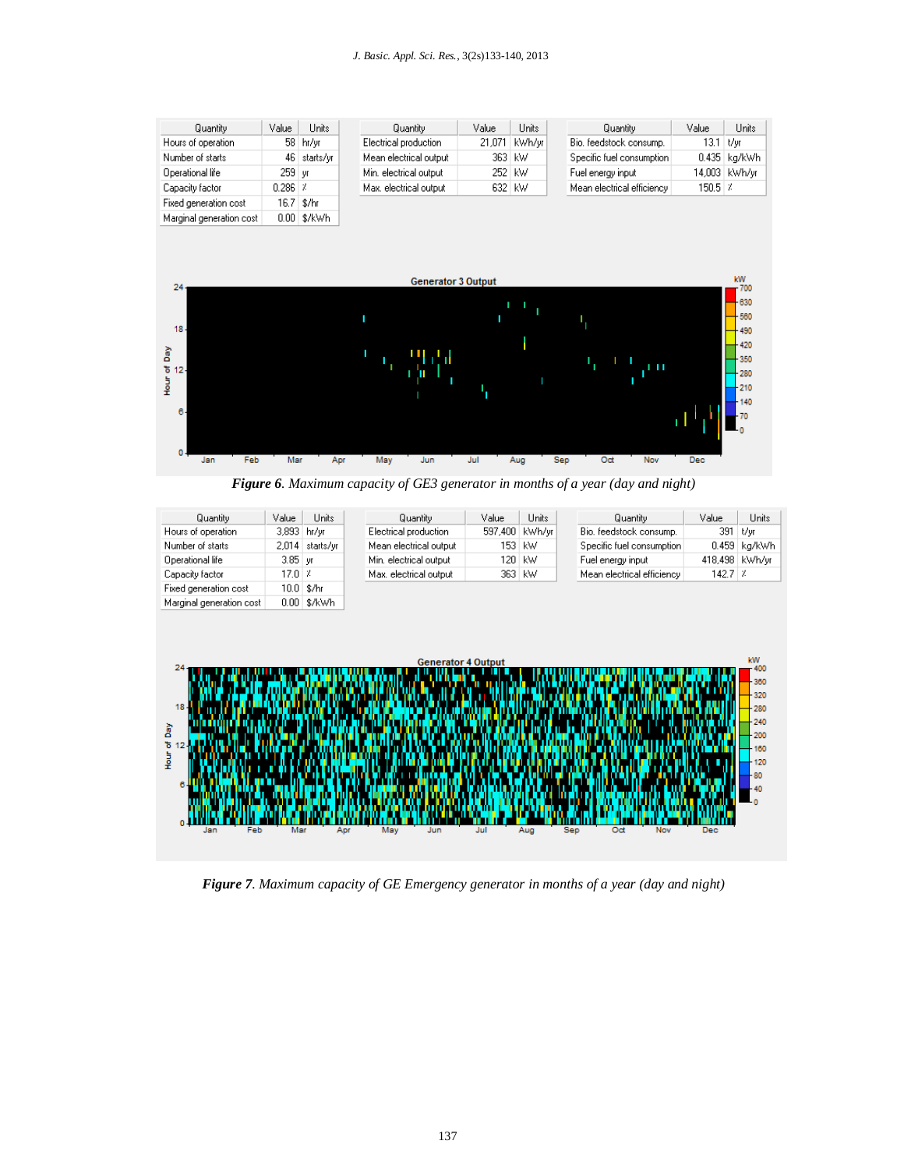| Quantity                 | Value         | Units          | Quantity               | Value  | Units  | Quantity                   | Value         | Units |
|--------------------------|---------------|----------------|------------------------|--------|--------|----------------------------|---------------|-------|
| Hours of operation       |               | 58 hr/vr       | Electrical production  | 21.071 | kWh/vr | Bio, feedstock consump.    | $13.1 + U$ vr |       |
| Number of starts         |               | 46   starts/yr | Mean electrical output | 363 kW |        | Specific fuel consumption  | 0.435 kg/kWh  |       |
| Operational life         | 259   yr      |                | Min. electrical output | 252 kw |        | Fuel energy input          | 14,003 KWh/vr |       |
| Capacity factor          | $0.286 \pm z$ |                | Max, electrical output | 632 kW |        | Mean electrical efficiency | 150.5   %     |       |
| Fixed generation cost    |               | $16.7$ \$/hr   |                        |        |        |                            |               |       |
| Marginal generation cost |               | 0.00 \$/kWh    |                        |        |        |                            |               |       |



*Figure 6. Maximum capacity of GE3 generator in months of a year (day and night)*

| Quantity                                                      | Value            | <b>Units</b>   | Quantity                  | Value   | <b>Units</b> | Quantity                   | Value          | Units                                                                   |
|---------------------------------------------------------------|------------------|----------------|---------------------------|---------|--------------|----------------------------|----------------|-------------------------------------------------------------------------|
| Hours of operation                                            | 3,893 hr/yr      |                | Electrical production     | 597,400 | kWh/yr       | Bio, feedstock consump.    | 391            | t/yr                                                                    |
| Number of starts                                              | 2,014            | starts/yr      | Mean electrical output    | 153     | kW           | Specific fuel consumption  | 0.459          | kg/kWh                                                                  |
| Operational life                                              | $3.85$ yr        |                | Min. electrical output    | 120     | kW           | Fuel energy input          | 418,498        | kWh/yr                                                                  |
| Capacity factor                                               | $17.0 \,   \,$ % |                | Max. electrical output    |         | 363 kW       | Mean electrical efficiency | $142.7 \times$ |                                                                         |
| Fixed generation cost                                         |                  | $10.0  $ \$/hr |                           |         |              |                            |                |                                                                         |
| Marginal generation cost                                      |                  | 0.00 \$/kWh    |                           |         |              |                            |                |                                                                         |
| 24<br>$18 -$<br>Day<br>$\frac{1}{6}$ 12<br>$\frac{1}{2}$<br>6 |                  |                | <b>Generator 4 Output</b> |         |              |                            |                | kW<br>400<br>360<br>320<br>280<br>240<br>-200<br>160<br>120<br>80<br>40 |

*Figure 7. Maximum capacity of GE Emergency generator in months of a year (day and night)*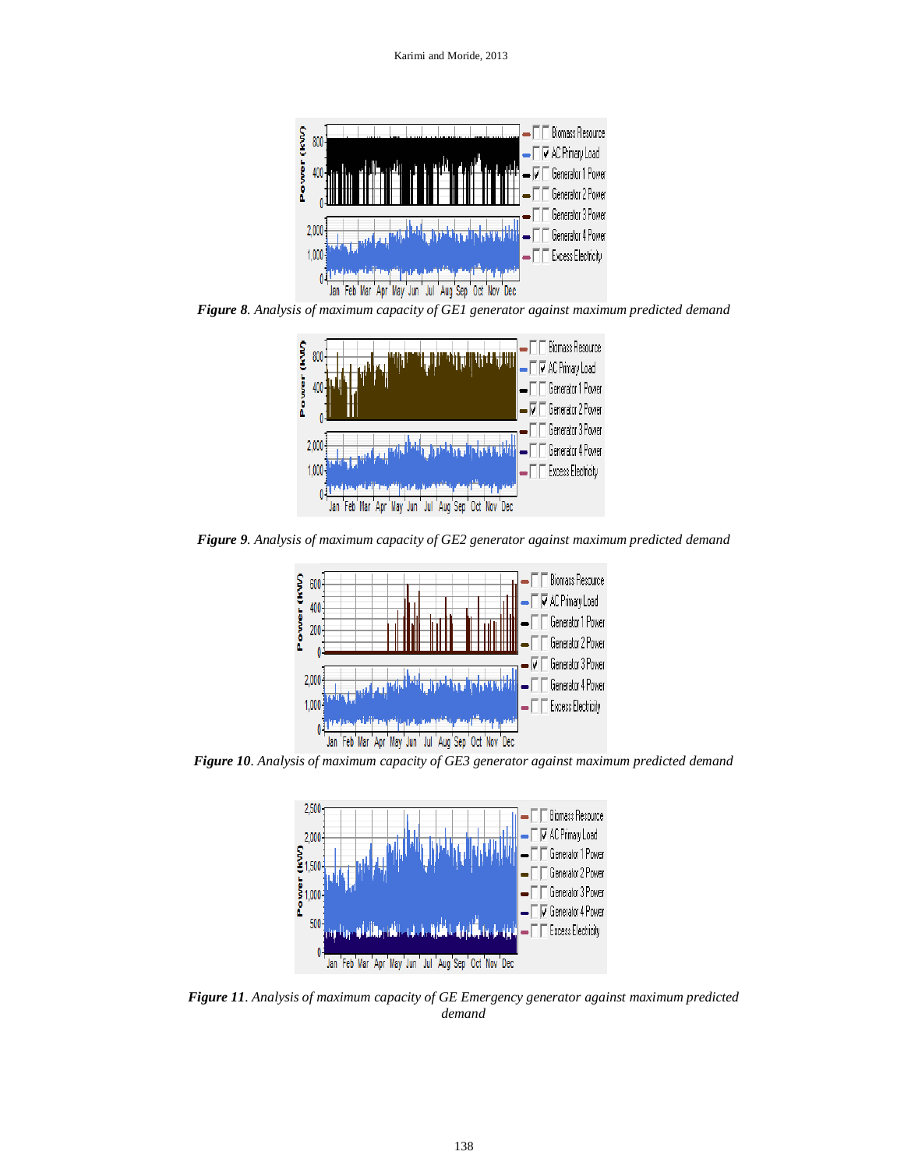

*Figure 8. Analysis of maximum capacity of GE1 generator against maximum predicted demand*



*Figure 9. Analysis of maximum capacity of GE2 generator against maximum predicted demand*



*Figure 10. Analysis of maximum capacity of GE3 generator against maximum predicted demand*



*Figure 11. Analysis of maximum capacity of GE Emergency generator against maximum predicted demand*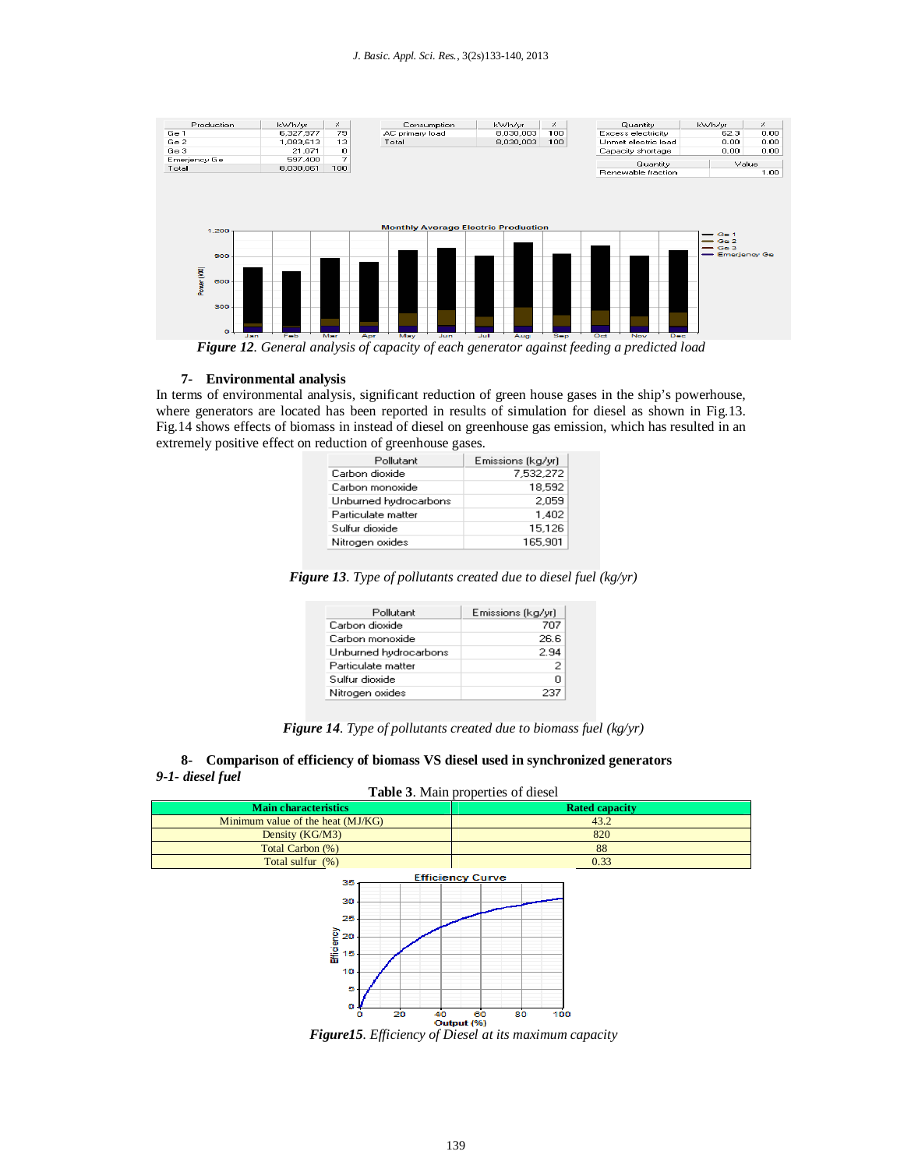

*Figure 12. General analysis of capacity of each generator against feeding a predicted load*

#### **7- Environmental analysis**

In terms of environmental analysis, significant reduction of green house gases in the ship's powerhouse, where generators are located has been reported in results of simulation for diesel as shown in Fig.13. Fig.14 shows effects of biomass in instead of diesel on greenhouse gas emission, which has resulted in an extremely positive effect on reduction of greenhouse gases.

| Pollutant             | Emissions (kg/yr) |
|-----------------------|-------------------|
| Carbon dioxide.       | 7,532,272         |
| Carbon monoxide.      | 18.592            |
| Unburned hydrocarbons | 2.059             |
| Particulate matter    | 1.402             |
| Sulfur dioxide        | 15.126            |
| Nitrogen oxides       | 165.901           |

| Pollutant             | Emissions (kg/yr) |
|-----------------------|-------------------|
| Carbon dioxide        | 707               |
| Carbon monoxide       | 26.6              |
| Unburned hydrocarbons | 2.94              |
| Particulate matter    | 2                 |
| Sulfur dioxide        | n                 |
| Nitrogen oxides       | 237               |

*Figure 14. Type of pollutants created due to biomass fuel (kg/yr)*

**8- Comparison of efficiency of biomass VS diesel used in synchronized generators**  *9-1- diesel fuel*

| .                                                                                      |                                                          |
|----------------------------------------------------------------------------------------|----------------------------------------------------------|
|                                                                                        | Table 3. Main properties of diesel                       |
| <b>Main characteristics</b>                                                            | <b>Rated capacity</b>                                    |
| Minimum value of the heat (MJ/KG)                                                      | 43.2                                                     |
| Density (KG/M3)                                                                        | 820                                                      |
| Total Carbon (%)                                                                       | 88                                                       |
| Total sulfur (%)                                                                       | 0.33                                                     |
| 35<br>30<br>$25 -$<br><b>Efficiency</b><br>Efficiency<br>10<br>5<br>о<br>20<br>40<br>o | <b>Efficiency Curve</b><br>80<br>60<br>100<br>Output (%) |

*Figure15. Efficiency of Diesel at its maximum capacity*